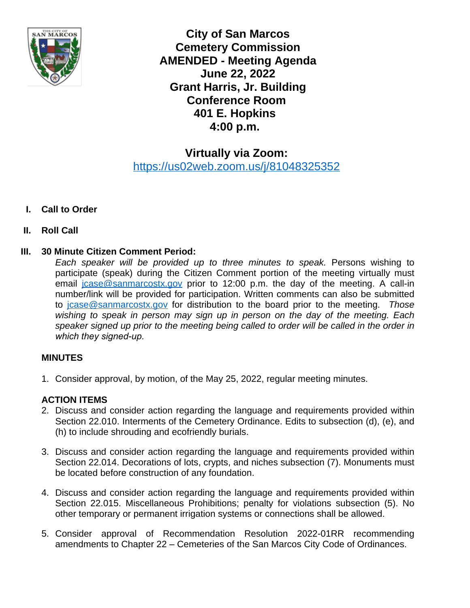

**City of San Marcos Cemetery Commission AMENDED - Meeting Agenda June 22, 2022 Grant Harris, Jr. Building Conference Room 401 E. Hopkins 4:00 p.m.**

**Virtually via Zoom:** <https://us02web.zoom.us/j/81048325352>

# **I. Call to Order**

## **II. Roll Call**

### **III. 30 Minute Citizen Comment Period:**

*Each speaker will be provided up to three minutes to speak.* Persons wishing to participate (speak) during the Citizen Comment portion of the meeting virtually must email [jcase@sanmarcostx.gov](mailto:jcase@sanmarcostx.gov) prior to 12:00 p.m. the day of the meeting. A call-in number/link will be provided for participation. Written comments can also be submitted to [jcase@sanmarcostx.gov](mailto:jcase@sanmarcostx.gov) for distribution to the board prior to the meeting. *Those wishing to speak in person may sign up in person on the day of the meeting. Each speaker signed up prior to the meeting being called to order will be called in the order in which they signed-up.* 

## **MINUTES**

1. Consider approval, by motion, of the May 25, 2022, regular meeting minutes.

## **ACTION ITEMS**

- 2. Discuss and consider action regarding the language and requirements provided within Section 22.010. Interments of the Cemetery Ordinance. Edits to subsection (d), (e), and (h) to include shrouding and ecofriendly burials.
- 3. Discuss and consider action regarding the language and requirements provided within Section 22.014. Decorations of lots, crypts, and niches subsection (7). Monuments must be located before construction of any foundation.
- 4. Discuss and consider action regarding the language and requirements provided within Section 22.015. Miscellaneous Prohibitions; penalty for violations subsection (5). No other temporary or permanent irrigation systems or connections shall be allowed.
- 5. Consider approval of Recommendation Resolution 2022-01RR recommending amendments to Chapter 22 – Cemeteries of the San Marcos City Code of Ordinances.